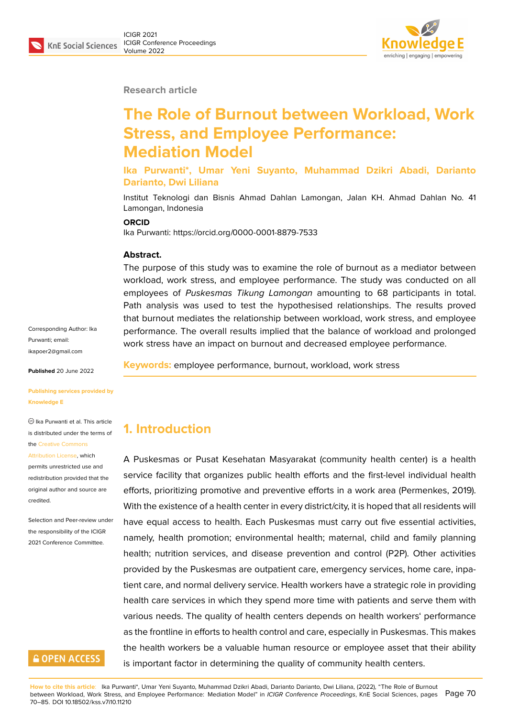**Research article**

# **The Role of Burnout between Workload, Work Stress, and Employee Performance: Mediation Model**

**Ika Purwanti\*, Umar Yeni Suyanto, Muhammad Dzikri Abadi, Darianto Darianto, Dwi Liliana**

Institut Teknologi dan Bisnis Ahmad Dahlan Lamongan, Jalan KH. Ahmad Dahlan No. 41 Lamongan, Indonesia

#### **ORCID**

Ika Purwanti: https://orcid.org/0000-0001-8879-7533

#### **Abstract.**

The purpose of this study was to examine the role of burnout as a mediator between workload, work stress, and employee performance. The study was conducted on all employees of *Puskesmas Tikung Lamongan* amounting to 68 participants in total. Path analysis was used to test the hypothesised relationships. The results proved that burnout mediates the relationship between workload, work stress, and employee performance. The overall results implied that the balance of workload and prolonged work stress have an impact on burnout and decreased employee performance.

**Keywords:** employee performance, burnout, workload, work stress

# **1. Introduction**

A Puskesmas or Pusat Kesehatan Masyarakat (community health center) is a health service facility that organizes public health efforts and the first-level individual health efforts, prioritizing promotive and preventive efforts in a work area (Permenkes, 2019). With the existence of a health center in every district/city, it is hoped that all residents will have equal access to health. Each Puskesmas must carry out five essential activities, namely, health promotion; environmental health; maternal, child and family planning health; nutrition services, and disease prevention and control (P2P). Other activities provided by the Puskesmas are outpatient care, emergency services, home care, inpatient care, and normal delivery service. Health workers have a strategic role in providing health care services in which they spend more time with patients and serve them with various needs. The quality of health centers depends on health workers' performance as the frontline in efforts to health control and care, especially in Puskesmas. This makes the health workers be a valuable human resource or employee asset that their ability is important factor in determining the quality of community health centers.

Corresponding Author: Ika Purwanti; email: ikapoer2@gmail.com

**Published** 20 June 2022

**[Publishing services p](mailto:ikapoer2@gmail.com)rovided by Knowledge E**

 $<sup>©</sup>$  Ika Purwanti et al. This article</sup> is distributed under the terms of the Creative Commons

#### Attribution License, which

permits unrestricted use and redistribution provided that the orig[inal author and sou](https://creativecommons.org/licenses/by/4.0/)rce are [credited.](https://creativecommons.org/licenses/by/4.0/)

Selection and Peer-review under the responsibility of the ICIGR 2021 Conference Committee.

### **GOPEN ACCESS**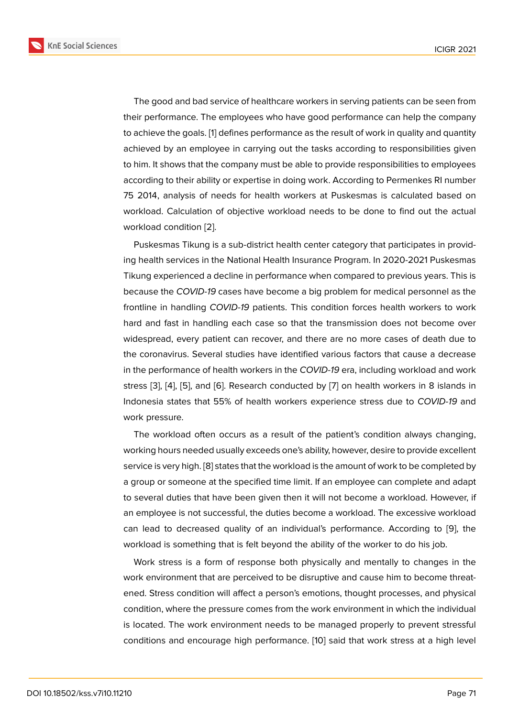The good and bad service of healthcare workers in serving patients can be seen from their performance. The employees who have good performance can help the company to achieve the goals. [1] defines performance as the result of work in quality and quantity achieved by an employee in carrying out the tasks according to responsibilities given to him. It shows that the company must be able to provide responsibilities to employees according to their abil[it](#page-12-0)y or expertise in doing work. According to Permenkes RI number 75 2014, analysis of needs for health workers at Puskesmas is calculated based on workload. Calculation of objective workload needs to be done to find out the actual workload condition [2].

Puskesmas Tikung is a sub-district health center category that participates in providing health services in the National Health Insurance Program. In 2020-2021 Puskesmas Tikung experienced [a](#page-12-1) decline in performance when compared to previous years. This is because the *COVID-19* cases have become a big problem for medical personnel as the frontline in handling *COVID-19* patients. This condition forces health workers to work hard and fast in handling each case so that the transmission does not become over widespread, every patient can recover, and there are no more cases of death due to the coronavirus. Several studies have identified various factors that cause a decrease in the performance of health workers in the *COVID-19* era, including workload and work stress [3], [4], [5], and [6]. Research conducted by [7] on health workers in 8 islands in Indonesia states that 55% of health workers experience stress due to *COVID-19* and work pressure.

The [w](#page-12-2)o[rk](#page-12-3)lo[ad](#page-12-4) often [o](#page-12-5)ccurs as a result of the p[at](#page-12-6)ient's condition always changing, working hours needed usually exceeds one's ability, however, desire to provide excellent service is very high. [8] states that the workload is the amount of work to be completed by a group or someone at the specified time limit. If an employee can complete and adapt to several duties that have been given then it will not become a workload. However, if an employee is not [su](#page-12-7)ccessful, the duties become a workload. The excessive workload can lead to decreased quality of an individual's performance. According to [9], the workload is something that is felt beyond the ability of the worker to do his job.

Work stress is a form of response both physically and mentally to changes in the work environment that are perceived to be disruptive and cause him to become [th](#page-12-8)reatened. Stress condition will affect a person's emotions, thought processes, and physical condition, where the pressure comes from the work environment in which the individual is located. The work environment needs to be managed properly to prevent stressful conditions and encourage high performance. [10] said that work stress at a high level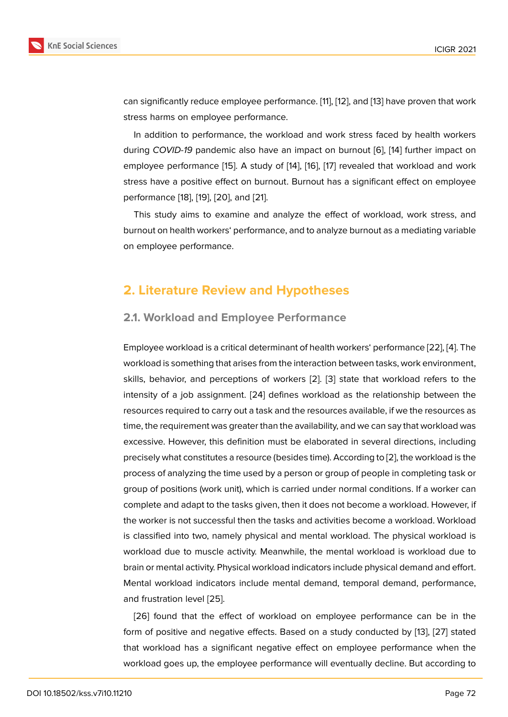can significantly reduce employee performance. [11], [12], and [13] have proven that work stress harms on employee performance.

In addition to performance, the workload and work stress faced by health workers during *COVID-19* pandemic also have an impact [o](#page-12-9)n [bu](#page-13-0)rnout [\[6](#page-13-1)], [14] further impact on employee performance [15]. A study of [14], [16], [17] revealed that workload and work stress have a positive effect on burnout. Burnout has a significant effect on employee performance [18], [19], [20], and [21].

This study aims to e[xam](#page-13-2)ine and ana[lyz](#page-13-3)e [the](#page-13-4) [eff](#page-13-5)ect of workload, work stress, and burnout on health workers' perfo[rm](#page-13-9)ance, and to analyze burnout as a mediating variable on employee [pe](#page-13-6)rf[orm](#page-13-7)[ance](#page-13-8).

### **2. Literature Review and Hypotheses**

### **2.1. Workload and Employee Performance**

Employee workload is a critical determinant of health workers' performance [22], [4]. The workload is something that arises from the interaction between tasks, work environment, skills, behavior, and perceptions of workers [2]. [3] state that workload refers to the intensity of a job assignment. [24] defines workload as the relationship [betw](#page-13-10)[ee](#page-12-3)n the resources required to carry out a task and the resources available, if we the resources as time, the requirement was greater than the avai[la](#page-12-1)bil[ity](#page-12-2), and we can say that workload was excessive. However, this definit[ion](#page-13-11) must be elaborated in several directions, including precisely what constitutes a resource (besides time). According to [2], the workload is the process of analyzing the time used by a person or group of people in completing task or group of positions (work unit), which is carried under normal conditions. If a worker can complete and adapt to the tasks given, then it does not become a [w](#page-12-1)orkload. However, if the worker is not successful then the tasks and activities become a workload. Workload is classified into two, namely physical and mental workload. The physical workload is workload due to muscle activity. Meanwhile, the mental workload is workload due to brain or mental activity. Physical workload indicators include physical demand and effort. Mental workload indicators include mental demand, temporal demand, performance, and frustration level [25].

[26] found that the effect of workload on employee performance can be in the form of positive and negative effects. Based on a study conducted by [13], [27] stated that workload has a [sig](#page-14-0)nificant negative effect on employee performance when the wo[rklo](#page-14-1)ad goes up, the employee performance will eventually decline. But according to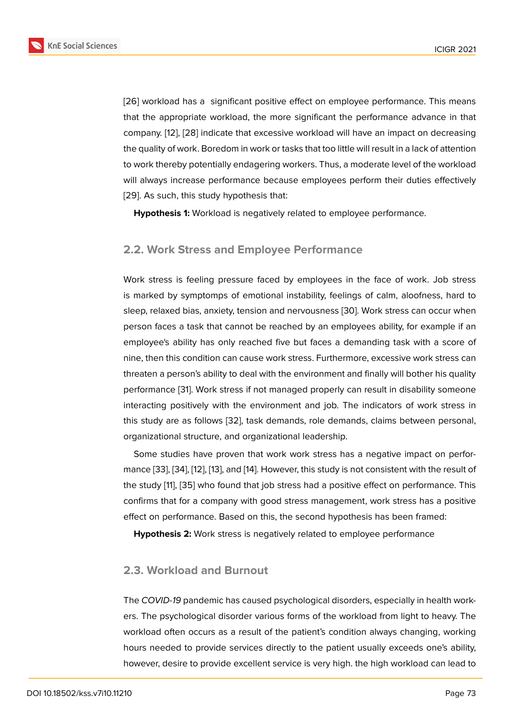[26] workload has a significant positive effect on employee performance. This means that the appropriate workload, the more significant the performance advance in that company. [12], [28] indicate that excessive workload will have an impact on decreasing [the](#page-14-1) quality of work. Boredom in work or tasks that too little will result in a lack of attention to work thereby potentially endagering workers. Thus, a moderate level of the workload will alway[s in](#page-13-0)c[reas](#page-14-2)e performance because employees perform their duties effectively [29]. As such, this study hypothesis that:

**Hypothesis 1:** Workload is negatively related to employee performance.

### **2.2. Work Stress and Employee Performance**

Work stress is feeling pressure faced by employees in the face of work. Job stress is marked by symptomps of emotional instability, feelings of calm, aloofness, hard to sleep, relaxed bias, anxiety, tension and nervousness [30]. Work stress can occur when person faces a task that cannot be reached by an employees ability, for example if an employee's ability has only reached five but faces a demanding task with a score of nine, then this condition can cause work stress. Furthe[rmo](#page-14-3)re, excessive work stress can threaten a person's ability to deal with the environment and finally will bother his quality performance [31]. Work stress if not managed properly can result in disability someone interacting positively with the environment and job. The indicators of work stress in this study are as follows [32], task demands, role demands, claims between personal, organizationa[l st](#page-14-4)ructure, and organizational leadership.

Some studies have proven that work work stress has a negative impact on performance [33], [34], [12], [13], [and](#page-14-5) [14]. However, this study is not consistent with the result of the study [11], [35] who found that job stress had a positive effect on performance. This confirms that for a company with good stress management, work stress has a positive effect o[n p](#page-14-6)e[rfor](#page-14-7)[man](#page-13-0)c[e. B](#page-13-1)ased [on](#page-13-3) this, the second hypothesis has been framed:

**Hypoth[es](#page-12-9)is [2:](#page-14-8)** Work stress is negatively related to employee performance

#### **2.3. Workload and Burnout**

The *COVID-19* pandemic has caused psychological disorders, especially in health workers. The psychological disorder various forms of the workload from light to heavy. The workload often occurs as a result of the patient's condition always changing, working hours needed to provide services directly to the patient usually exceeds one's ability, however, desire to provide excellent service is very high. the high workload can lead to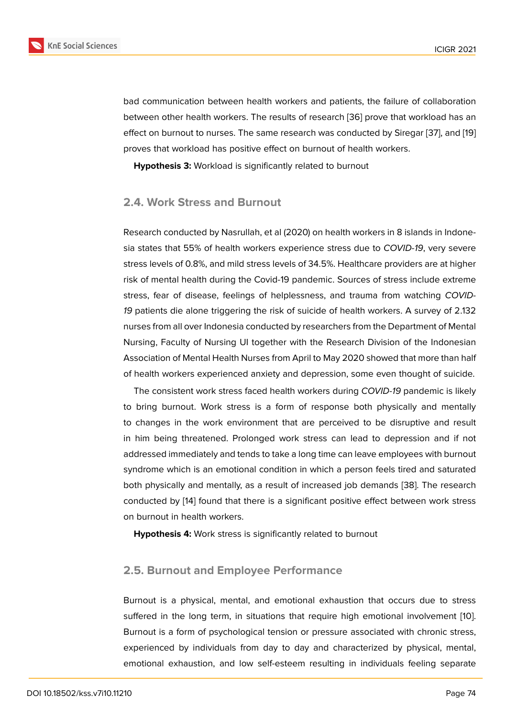bad communication between health workers and patients, the failure of collaboration between other health workers. The results of research [36] prove that workload has an effect on burnout to nurses. The same research was conducted by Siregar [37], and [19] proves that workload has positive effect on burnout of health workers.

**Hypothesis 3:** Workload is significantly related to bu[rno](#page-14-9)ut

#### **2.4. Work Stress and Burnout**

Research conducted by Nasrullah, et al (2020) on health workers in 8 islands in Indonesia states that 55% of health workers experience stress due to *COVID-19*, very severe stress levels of 0.8%, and mild stress levels of 34.5%. Healthcare providers are at higher risk of mental health during the Covid-19 pandemic. Sources of stress include extreme stress, fear of disease, feelings of helplessness, and trauma from watching *COVID-19* patients die alone triggering the risk of suicide of health workers. A survey of 2.132 nurses from all over Indonesia conducted by researchers from the Department of Mental Nursing, Faculty of Nursing UI together with the Research Division of the Indonesian Association of Mental Health Nurses from April to May 2020 showed that more than half of health workers experienced anxiety and depression, some even thought of suicide.

The consistent work stress faced health workers during *COVID-19* pandemic is likely to bring burnout. Work stress is a form of response both physically and mentally to changes in the work environment that are perceived to be disruptive and result in him being threatened. Prolonged work stress can lead to depression and if not addressed immediately and tends to take a long time can leave employees with burnout syndrome which is an emotional condition in which a person feels tired and saturated both physically and mentally, as a result of increased job demands [38]. The research conducted by [14] found that there is a significant positive effect between work stress on burnout in health workers.

**Hypothesis 4:** Work stress is significantly related to burnout

### **2.5. Burnout and Employee Performance**

Burnout is a physical, mental, and emotional exhaustion that occurs due to stress suffered in the long term, in situations that require high emotional involvement [10]. Burnout is a form of psychological tension or pressure associated with chronic stress, experienced by individuals from day to day and characterized by physical, mental, emotional exhaustion, and low self-esteem resulting in individuals feeling sepa[rate](#page-12-10)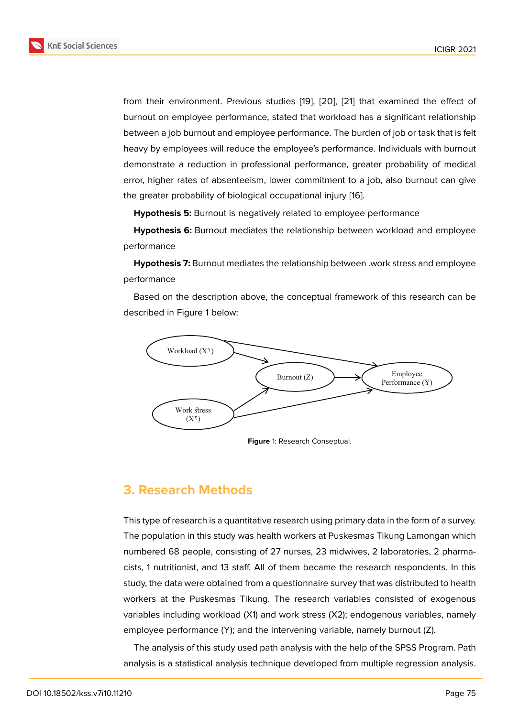from their environment. Previous studies [19], [20], [21] that examined the effect of burnout on employee performance, stated that workload has a significant relationship between a job burnout and employee performance. The burden of job or task that is felt heavy by employees will reduce the emplo[yee](#page-13-7)'s [per](#page-13-8)fo[rm](#page-13-9)ance. Individuals with burnout demonstrate a reduction in professional performance, greater probability of medical error, higher rates of absenteeism, lower commitment to a job, also burnout can give the greater probability of biological occupational injury [16].

**Hypothesis 5:** Burnout is negatively related to employee performance

**Hypothesis 6:** Burnout mediates the relationship bet[we](#page-13-4)en workload and employee performance

**Hypothesis 7:** Burnout mediates the relationship between .work stress and employee performance

Based on the description above, the conceptual framework of this research can be described in Figure 1 below:



<span id="page-5-0"></span>**Figure** 1: Research Conseptual.

### **3. Research Methods**

This type of research is a quantitative research using primary data in the form of a survey. The population in this study was health workers at Puskesmas Tikung Lamongan which numbered 68 people, consisting of 27 nurses, 23 midwives, 2 laboratories, 2 pharmacists, 1 nutritionist, and 13 staff. All of them became the research respondents. In this study, the data were obtained from a questionnaire survey that was distributed to health workers at the Puskesmas Tikung. The research variables consisted of exogenous variables including workload (X1) and work stress (X2); endogenous variables, namely employee performance (Y); and the intervening variable, namely burnout (Z).

The analysis of this study used path analysis with the help of the SPSS Program. Path analysis is a statistical analysis technique developed from multiple regression analysis.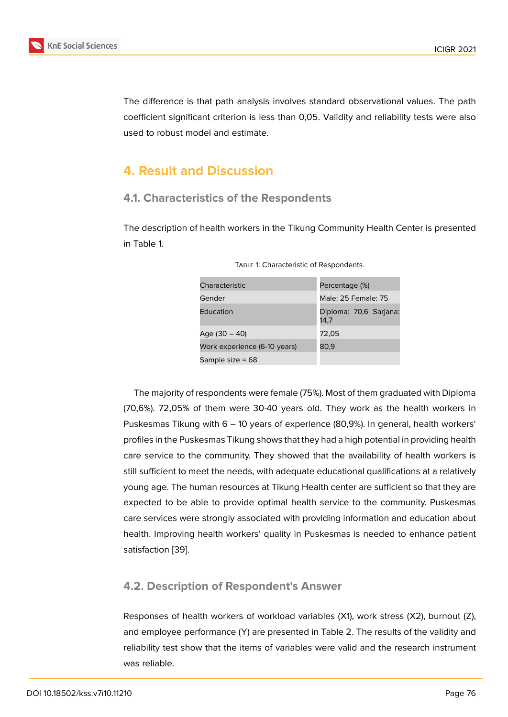The difference is that path analysis involves standard observational values. The path coefficient significant criterion is less than 0,05. Validity and reliability tests were also used to robust model and estimate.

## **4. Result and Discussion**

### **4.1. Characteristics of the Respondents**

The description of health workers in the Tikung Community Health Center is presented in Table 1.

| Characteristic               | Percentage (%)                 |  |
|------------------------------|--------------------------------|--|
| Gender                       | Male: 25 Female: 75            |  |
| Education                    | Diploma: 70,6 Sarjana:<br>14.7 |  |
| Age (30 – 40)                | 72,05                          |  |
| Work experience (6-10 years) | 80,9                           |  |
| Sample size $= 68$           |                                |  |

Table 1: Characteristic of Respondents.

The majority of respondents were female (75%). Most of them graduated with Diploma (70,6%). 72,05% of them were 30-40 years old. They work as the health workers in Puskesmas Tikung with 6 – 10 years of experience (80,9%). In general, health workers' profiles in the Puskesmas Tikung shows that they had a high potential in providing health care service to the community. They showed that the availability of health workers is still sufficient to meet the needs, with adequate educational qualifications at a relatively young age. The human resources at Tikung Health center are sufficient so that they are expected to be able to provide optimal health service to the community. Puskesmas care services were strongly associated with providing information and education about health. Improving health workers' quality in Puskesmas is needed to enhance patient satisfaction [39].

### **4.2. Desc[rip](#page-15-0)tion of Respondent's Answer**

Responses of health workers of workload variables (X1), work stress (X2), burnout (Z), and employee performance (Y) are presented in Table 2. The results of the validity and reliability test show that the items of variables were valid and the research instrument was reliable.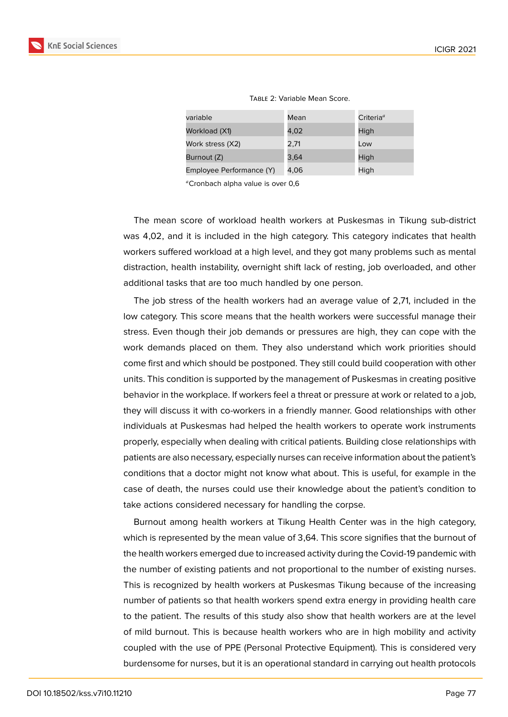| variable                 | Mean | Criteria $^a$ |
|--------------------------|------|---------------|
| Workload (X1)            | 4,02 | High          |
| Work stress (X2)         | 2,71 | Low           |
| Burnout (Z)              | 3,64 | High          |
| Employee Performance (Y) | 4,06 | High          |

Table 2: Variable Mean Score.

Cronbach alpha value is over 0,6

The mean score of workload health workers at Puskesmas in Tikung sub-district was 4,02, and it is included in the high category. This category indicates that health workers suffered workload at a high level, and they got many problems such as mental distraction, health instability, overnight shift lack of resting, job overloaded, and other additional tasks that are too much handled by one person.

The job stress of the health workers had an average value of 2,71, included in the low category. This score means that the health workers were successful manage their stress. Even though their job demands or pressures are high, they can cope with the work demands placed on them. They also understand which work priorities should come first and which should be postponed. They still could build cooperation with other units. This condition is supported by the management of Puskesmas in creating positive behavior in the workplace. If workers feel a threat or pressure at work or related to a job, they will discuss it with co-workers in a friendly manner. Good relationships with other individuals at Puskesmas had helped the health workers to operate work instruments properly, especially when dealing with critical patients. Building close relationships with patients are also necessary, especially nurses can receive information about the patient's conditions that a doctor might not know what about. This is useful, for example in the case of death, the nurses could use their knowledge about the patient's condition to take actions considered necessary for handling the corpse.

Burnout among health workers at Tikung Health Center was in the high category, which is represented by the mean value of 3,64. This score signifies that the burnout of the health workers emerged due to increased activity during the Covid-19 pandemic with the number of existing patients and not proportional to the number of existing nurses. This is recognized by health workers at Puskesmas Tikung because of the increasing number of patients so that health workers spend extra energy in providing health care to the patient. The results of this study also show that health workers are at the level of mild burnout. This is because health workers who are in high mobility and activity coupled with the use of PPE (Personal Protective Equipment). This is considered very burdensome for nurses, but it is an operational standard in carrying out health protocols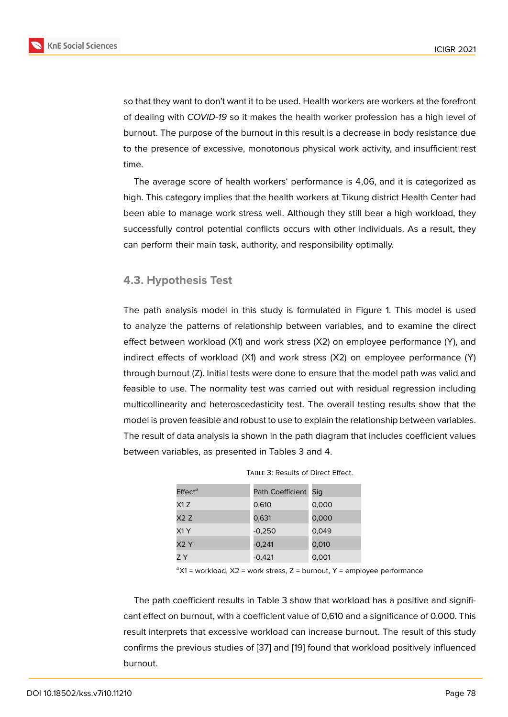so that they want to don't want it to be used. Health workers are workers at the forefront of dealing with *COVID-19* so it makes the health worker profession has a high level of burnout. The purpose of the burnout in this result is a decrease in body resistance due to the presence of excessive, monotonous physical work activity, and insufficient rest time.

The average score of health workers' performance is 4,06, and it is categorized as high. This category implies that the health workers at Tikung district Health Center had been able to manage work stress well. Although they still bear a high workload, they successfully control potential conflicts occurs with other individuals. As a result, they can perform their main task, authority, and responsibility optimally.

#### **4.3. Hypothesis Test**

The path analysis model in this study is formulated in Figure 1. This model is used to analyze the patterns of relationship between variables, and to examine the direct effect between workload (X1) and work stress (X2) on employee performance (Y), and indirect effects of workload (X1) and work stress (X2) on empl[o](#page-5-0)yee performance (Y) through burnout (Z). Initial tests were done to ensure that the model path was valid and feasible to use. The normality test was carried out with residual regression including multicollinearity and heteroscedasticity test. The overall testing results show that the model is proven feasible and robust to use to explain the relationship between variables. The result of data analysis ia shown in the path diagram that includes coefficient values between variables, as presented in Tables 3 and 4.

| $E$ ffect <sup>a</sup> | Path Coefficient | Sig   |
|------------------------|------------------|-------|
| X1Z                    | 0,610            | 0,000 |
| X2Z                    | 0,631            | 0,000 |
| X1Y                    | $-0.250$         | 0,049 |
| X2Y                    | $-0,241$         | 0,010 |
| 7 Y                    | $-0.421$         | 0,001 |

|  | TABLE 3: Results of Direct Effect. |  |  |
|--|------------------------------------|--|--|
|--|------------------------------------|--|--|

 ${}^a$ X1 = workload, X2 = work stress, Z = burnout, Y = employee performance

The path coefficient results in Table 3 show that workload has a positive and significant effect on burnout, with a coefficient value of 0,610 and a significance of 0.000. This result interprets that excessive workload can increase burnout. The result of this study confirms the previous studies of [37] and [19] found that workload positively influenced burnout.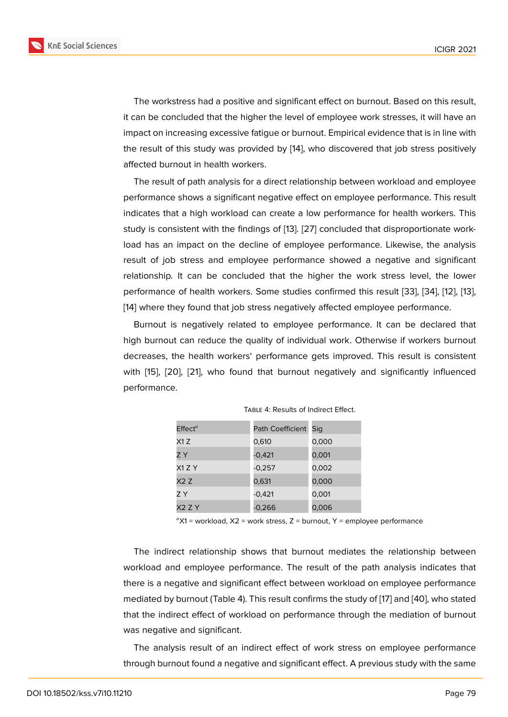The workstress had a positive and significant effect on burnout. Based on this result, it can be concluded that the higher the level of employee work stresses, it will have an impact on increasing excessive fatigue or burnout. Empirical evidence that is in line with the result of this study was provided by [14], who discovered that job stress positively affected burnout in health workers.

The result of path analysis for a direct relationship between workload and employee performance shows a significant negativ[e ef](#page-13-3)fect on employee performance. This result indicates that a high workload can create a low performance for health workers. This study is consistent with the findings of [13]. [27] concluded that disproportionate workload has an impact on the decline of employee performance. Likewise, the analysis result of job stress and employee performance showed a negative and significant relationship. It can be concluded that [th](#page-13-1)e [hi](#page-14-10)gher the work stress level, the lower performance of health workers. Some studies confirmed this result [33], [34], [12], [13], [14] where they found that job stress negatively affected employee performance.

Burnout is negatively related to employee performance. It can be declared that high burnout can reduce the quality of individual work. Otherwise i[f w](#page-14-6)or[ker](#page-14-7)s [bu](#page-13-0)rn[ou](#page-13-1)t [de](#page-13-3)creases, the health workers' performance gets improved. This result is consistent with [15], [20], [21], who found that burnout negatively and significantly influenced performance.

| $E$ ffect <sup>a</sup> | Path Coefficient | Sig   |
|------------------------|------------------|-------|
| X1Z                    | 0,610            | 0,000 |
| ΖY                     | $-0,421$         | 0,001 |
| X1 Z Y                 | $-0,257$         | 0,002 |
| X2 Z                   | 0,631            | 0,000 |
| Z Y                    | $-0,421$         | 0,001 |
| X2 Z Y                 | $-0,266$         | 0,006 |

 ${}^a$ X1 = workload, X2 = work stress, Z = burnout, Y = employee performance

The indirect relationship shows that burnout mediates the relationship between workload and employee performance. The result of the path analysis indicates that there is a negative and significant effect between workload on employee performance mediated by burnout (Table 4). This result confirms the study of [17] and [40], who stated that the indirect effect of workload on performance through the mediation of burnout was negative and significant.

The analysis result of an indirect effect of work stress on [em](#page-13-5)ploy[ee p](#page-15-1)erformance through burnout found a negative and significant effect. A previous study with the same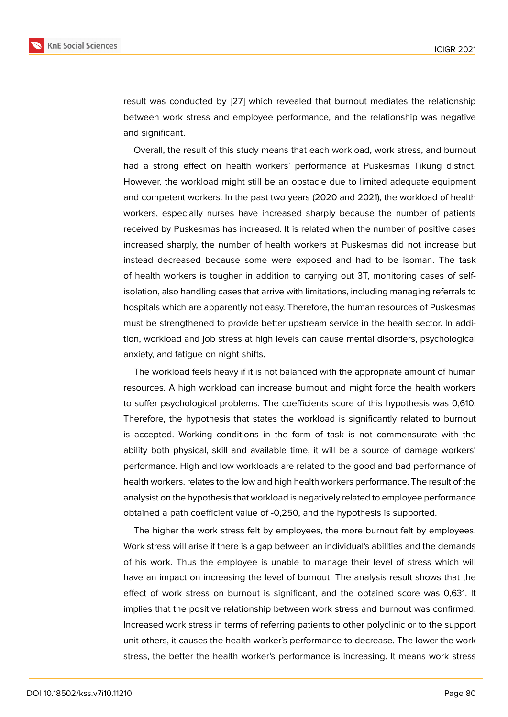result was conducted by [27] which revealed that burnout mediates the relationship between work stress and employee performance, and the relationship was negative and significant.

Overall, the result of thi[s st](#page-14-10)udy means that each workload, work stress, and burnout had a strong effect on health workers' performance at Puskesmas Tikung district. However, the workload might still be an obstacle due to limited adequate equipment and competent workers. In the past two years (2020 and 2021), the workload of health workers, especially nurses have increased sharply because the number of patients received by Puskesmas has increased. It is related when the number of positive cases increased sharply, the number of health workers at Puskesmas did not increase but instead decreased because some were exposed and had to be isoman. The task of health workers is tougher in addition to carrying out 3T, monitoring cases of selfisolation, also handling cases that arrive with limitations, including managing referrals to hospitals which are apparently not easy. Therefore, the human resources of Puskesmas must be strengthened to provide better upstream service in the health sector. In addition, workload and job stress at high levels can cause mental disorders, psychological anxiety, and fatigue on night shifts.

The workload feels heavy if it is not balanced with the appropriate amount of human resources. A high workload can increase burnout and might force the health workers to suffer psychological problems. The coefficients score of this hypothesis was 0,610. Therefore, the hypothesis that states the workload is significantly related to burnout is accepted. Working conditions in the form of task is not commensurate with the ability both physical, skill and available time, it will be a source of damage workers' performance. High and low workloads are related to the good and bad performance of health workers. relates to the low and high health workers performance. The result of the analysist on the hypothesis that workload is negatively related to employee performance obtained a path coefficient value of -0,250, and the hypothesis is supported.

The higher the work stress felt by employees, the more burnout felt by employees. Work stress will arise if there is a gap between an individual's abilities and the demands of his work. Thus the employee is unable to manage their level of stress which will have an impact on increasing the level of burnout. The analysis result shows that the effect of work stress on burnout is significant, and the obtained score was 0,631. It implies that the positive relationship between work stress and burnout was confirmed. Increased work stress in terms of referring patients to other polyclinic or to the support unit others, it causes the health worker's performance to decrease. The lower the work stress, the better the health worker's performance is increasing. It means work stress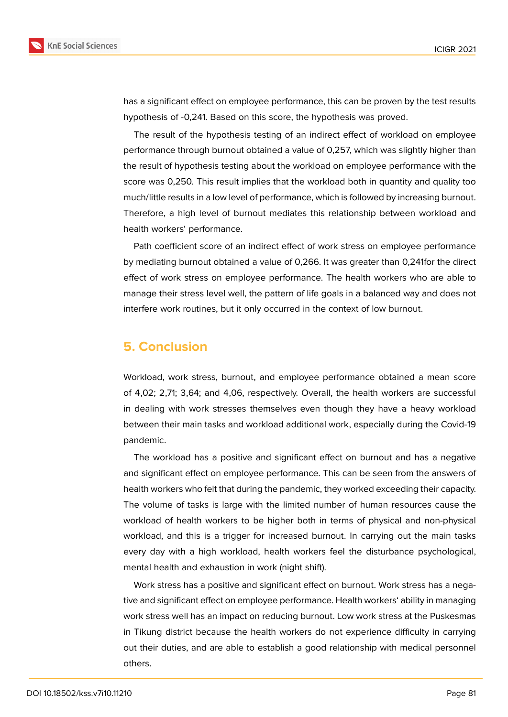

has a significant effect on employee performance, this can be proven by the test results hypothesis of -0,241. Based on this score, the hypothesis was proved.

The result of the hypothesis testing of an indirect effect of workload on employee performance through burnout obtained a value of 0,257, which was slightly higher than the result of hypothesis testing about the workload on employee performance with the score was 0,250. This result implies that the workload both in quantity and quality too much/little results in a low level of performance, which is followed by increasing burnout. Therefore, a high level of burnout mediates this relationship between workload and health workers' performance.

Path coefficient score of an indirect effect of work stress on employee performance by mediating burnout obtained a value of 0,266. It was greater than 0,241for the direct effect of work stress on employee performance. The health workers who are able to manage their stress level well, the pattern of life goals in a balanced way and does not interfere work routines, but it only occurred in the context of low burnout.

# **5. Conclusion**

Workload, work stress, burnout, and employee performance obtained a mean score of 4,02; 2,71; 3,64; and 4,06, respectively. Overall, the health workers are successful in dealing with work stresses themselves even though they have a heavy workload between their main tasks and workload additional work, especially during the Covid-19 pandemic.

The workload has a positive and significant effect on burnout and has a negative and significant effect on employee performance. This can be seen from the answers of health workers who felt that during the pandemic, they worked exceeding their capacity. The volume of tasks is large with the limited number of human resources cause the workload of health workers to be higher both in terms of physical and non-physical workload, and this is a trigger for increased burnout. In carrying out the main tasks every day with a high workload, health workers feel the disturbance psychological, mental health and exhaustion in work (night shift).

Work stress has a positive and significant effect on burnout. Work stress has a negative and significant effect on employee performance. Health workers' ability in managing work stress well has an impact on reducing burnout. Low work stress at the Puskesmas in Tikung district because the health workers do not experience difficulty in carrying out their duties, and are able to establish a good relationship with medical personnel others.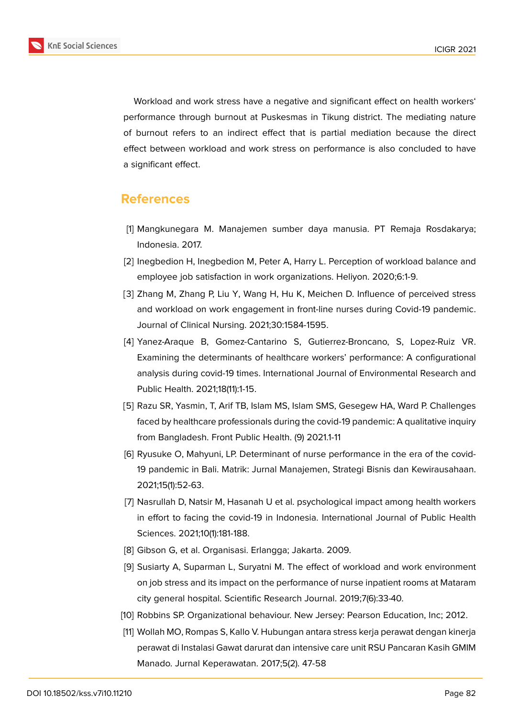

Workload and work stress have a negative and significant effect on health workers'

performance through burnout at Puskesmas in Tikung district. The mediating nature of burnout refers to an indirect effect that is partial mediation because the direct effect between workload and work stress on performance is also concluded to have a significant effect.

### **References**

- <span id="page-12-0"></span>[1] Mangkunegara M. Manajemen sumber daya manusia. PT Remaja Rosdakarya; Indonesia. 2017.
- <span id="page-12-1"></span>[2] Inegbedion H, Inegbedion M, Peter A, Harry L. Perception of workload balance and employee job satisfaction in work organizations. Heliyon. 2020;6:1-9.
- <span id="page-12-2"></span>[3] Zhang M, Zhang P, Liu Y, Wang H, Hu K, Meichen D. Influence of perceived stress and workload on work engagement in front-line nurses during Covid-19 pandemic. Journal of Clinical Nursing. 2021;30:1584-1595.
- <span id="page-12-3"></span>[4] Yanez-Araque B, Gomez-Cantarino S, Gutierrez-Broncano, S, Lopez-Ruiz VR. Examining the determinants of healthcare workers' performance: A configurational analysis during covid-19 times. International Journal of Environmental Research and Public Health. 2021;18(11):1-15.
- <span id="page-12-4"></span>[5] Razu SR, Yasmin, T, Arif TB, Islam MS, Islam SMS, Gesegew HA, Ward P. Challenges faced by healthcare professionals during the covid-19 pandemic: A qualitative inquiry from Bangladesh. Front Public Health. (9) 2021.1-11
- <span id="page-12-5"></span>[6] Ryusuke O, Mahyuni, LP. Determinant of nurse performance in the era of the covid-19 pandemic in Bali. Matrik: Jurnal Manajemen, Strategi Bisnis dan Kewirausahaan. 2021;15(1):52-63.
- <span id="page-12-6"></span>[7] Nasrullah D, Natsir M, Hasanah U et al. psychological impact among health workers in effort to facing the covid-19 in Indonesia. International Journal of Public Health Sciences. 2021;10(1):181-188.
- <span id="page-12-8"></span><span id="page-12-7"></span>[8] Gibson G, et al. Organisasi. Erlangga; Jakarta. 2009.
- [9] Susiarty A, Suparman L, Suryatni M. The effect of workload and work environment on job stress and its impact on the performance of nurse inpatient rooms at Mataram city general hospital. Scientific Research Journal. 2019;7(6):33-40.
- <span id="page-12-10"></span>[10] Robbins SP. Organizational behaviour. New Jersey: Pearson Education, Inc; 2012.
- <span id="page-12-9"></span>[11] Wollah MO, Rompas S, Kallo V. Hubungan antara stress kerja perawat dengan kinerja perawat di Instalasi Gawat darurat dan intensive care unit RSU Pancaran Kasih GMIM Manado. Jurnal Keperawatan. 2017;5(2). 47-58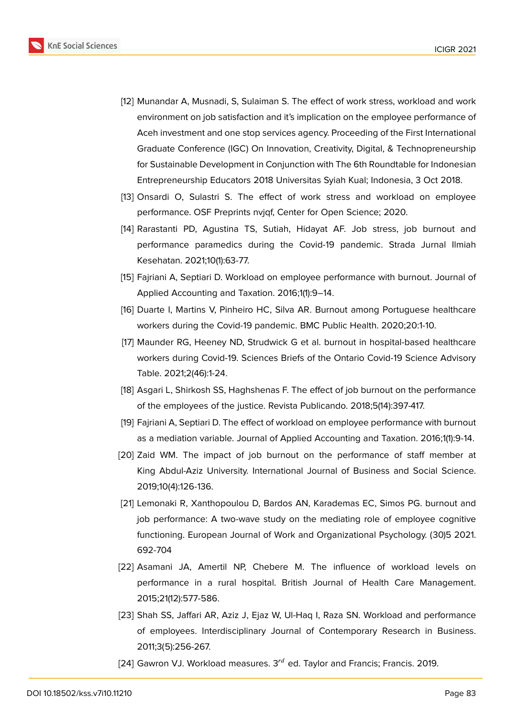

- <span id="page-13-0"></span>[12] Munandar A, Musnadi, S, Sulaiman S. The effect of work stress, workload and work environment on job satisfaction and it's implication on the employee performance of Aceh investment and one stop services agency. Proceeding of the First International Graduate Conference (IGC) On Innovation, Creativity, Digital, & Technopreneurship for Sustainable Development in Conjunction with The 6th Roundtable for Indonesian Entrepreneurship Educators 2018 Universitas Syiah Kual; Indonesia, 3 Oct 2018.
- <span id="page-13-1"></span>[13] Onsardi O, Sulastri S. The effect of work stress and workload on employee performance. OSF Preprints nvjqf, Center for Open Science; 2020.
- <span id="page-13-3"></span>[14] Rarastanti PD, Agustina TS, Sutiah, Hidayat AF. Job stress, job burnout and performance paramedics during the Covid-19 pandemic. Strada Jurnal Ilmiah Kesehatan. 2021;10(1):63-77.
- <span id="page-13-2"></span>[15] Fajriani A, Septiari D. Workload on employee performance with burnout. Journal of Applied Accounting and Taxation. 2016;1(1):9–14.
- <span id="page-13-4"></span>[16] Duarte I, Martins V, Pinheiro HC, Silva AR. Burnout among Portuguese healthcare workers during the Covid-19 pandemic. BMC Public Health. 2020;20:1-10.
- <span id="page-13-5"></span>[17] Maunder RG, Heeney ND, Strudwick G et al. burnout in hospital-based healthcare workers during Covid-19. Sciences Briefs of the Ontario Covid-19 Science Advisory Table. 2021;2(46):1-24.
- <span id="page-13-6"></span>[18] Asgari L, Shirkosh SS, Haghshenas F. The effect of job burnout on the performance of the employees of the justice. Revista Publicando. 2018;5(14):397-417.
- <span id="page-13-7"></span>[19] Fajriani A, Septiari D. The effect of workload on employee performance with burnout as a mediation variable. Journal of Applied Accounting and Taxation. 2016;1(1):9-14.
- <span id="page-13-8"></span>[20] Zaid WM. The impact of job burnout on the performance of staff member at King Abdul-Aziz University. International Journal of Business and Social Science. 2019;10(4):126-136.
- <span id="page-13-9"></span>[21] Lemonaki R, Xanthopoulou D, Bardos AN, Karademas EC, Simos PG. burnout and job performance: A two-wave study on the mediating role of employee cognitive functioning. European Journal of Work and Organizational Psychology. (30)5 2021. 692-704
- <span id="page-13-10"></span>[22] Asamani JA, Amertil NP, Chebere M. The influence of workload levels on performance in a rural hospital. British Journal of Health Care Management. 2015;21(12):577-586.
- [23] Shah SS, Jaffari AR, Aziz J, Ejaz W, Ul-Haq I, Raza SN. Workload and performance of employees. Interdisciplinary Journal of Contemporary Research in Business. 2011;3(5):256-267.
- <span id="page-13-11"></span>[24] Gawron VJ. Workload measures.  $3^{rd}$  ed. Taylor and Francis; Francis. 2019.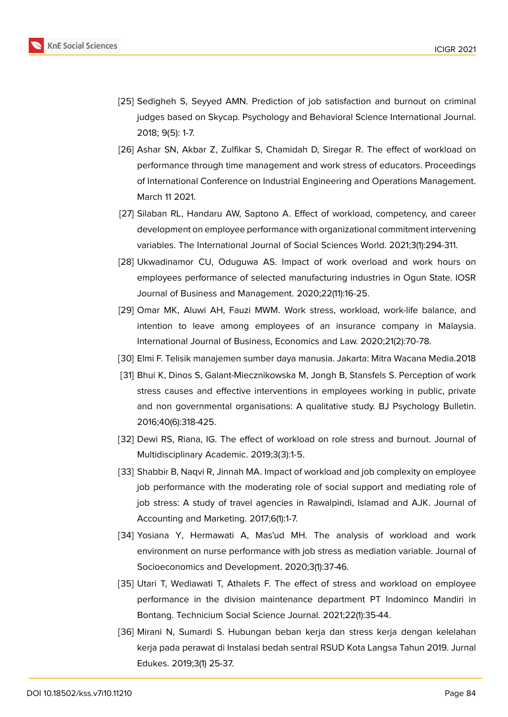

- <span id="page-14-0"></span>[25] Sedigheh S, Seyyed AMN. Prediction of job satisfaction and burnout on criminal judges based on Skycap. Psychology and Behavioral Science International Journal. 2018; 9(5): 1-7.
- <span id="page-14-1"></span>[26] Ashar SN, Akbar Z, Zulfikar S, Chamidah D, Siregar R. The effect of workload on performance through time management and work stress of educators. Proceedings of International Conference on Industrial Engineering and Operations Management. March 11 2021.
- <span id="page-14-10"></span>[27] Silaban RL, Handaru AW, Saptono A. Effect of workload, competency, and career development on employee performance with organizational commitment intervening variables. The International Journal of Social Sciences World. 2021;3(1):294-311.
- <span id="page-14-2"></span>[28] Ukwadinamor CU, Oduguwa AS. Impact of work overload and work hours on employees performance of selected manufacturing industries in Ogun State. IOSR Journal of Business and Management. 2020;22(11):16-25.
- [29] Omar MK, Aluwi AH, Fauzi MWM. Work stress, workload, work-life balance, and intention to leave among employees of an insurance company in Malaysia. International Journal of Business, Economics and Law. 2020;21(2):70-78.
- <span id="page-14-3"></span>[30] Elmi F. Telisik manajemen sumber daya manusia. Jakarta: Mitra Wacana Media.2018
- <span id="page-14-4"></span>[31] Bhui K, Dinos S, Galant-Miecznikowska M, Jongh B, Stansfels S. Perception of work stress causes and effective interventions in employees working in public, private and non governmental organisations: A qualitative study. BJ Psychology Bulletin. 2016;40(6):318-425.
- <span id="page-14-5"></span>[32] Dewi RS, Riana, IG. The effect of workload on role stress and burnout. Journal of Multidisciplinary Academic. 2019;3(3):1-5.
- <span id="page-14-6"></span>[33] Shabbir B, Naqvi R, Jinnah MA. Impact of workload and job complexity on employee job performance with the moderating role of social support and mediating role of job stress: A study of travel agencies in Rawalpindi, Islamad and AJK. Journal of Accounting and Marketing. 2017;6(1):1-7.
- <span id="page-14-7"></span>[34] Yosiana Y, Hermawati A, Mas'ud MH. The analysis of workload and work environment on nurse performance with job stress as mediation variable. Journal of Socioeconomics and Development. 2020;3(1):37-46.
- <span id="page-14-8"></span>[35] Utari T, Wediawati T, Athalets F. The effect of stress and workload on employee performance in the division maintenance department PT Indominco Mandiri in Bontang. Technicium Social Science Journal. 2021;22(1):35-44.
- <span id="page-14-9"></span>[36] Mirani N, Sumardi S. Hubungan beban kerja dan stress kerja dengan kelelahan kerja pada perawat di Instalasi bedah sentral RSUD Kota Langsa Tahun 2019. Jurnal Edukes. 2019;3(1) 25-37.